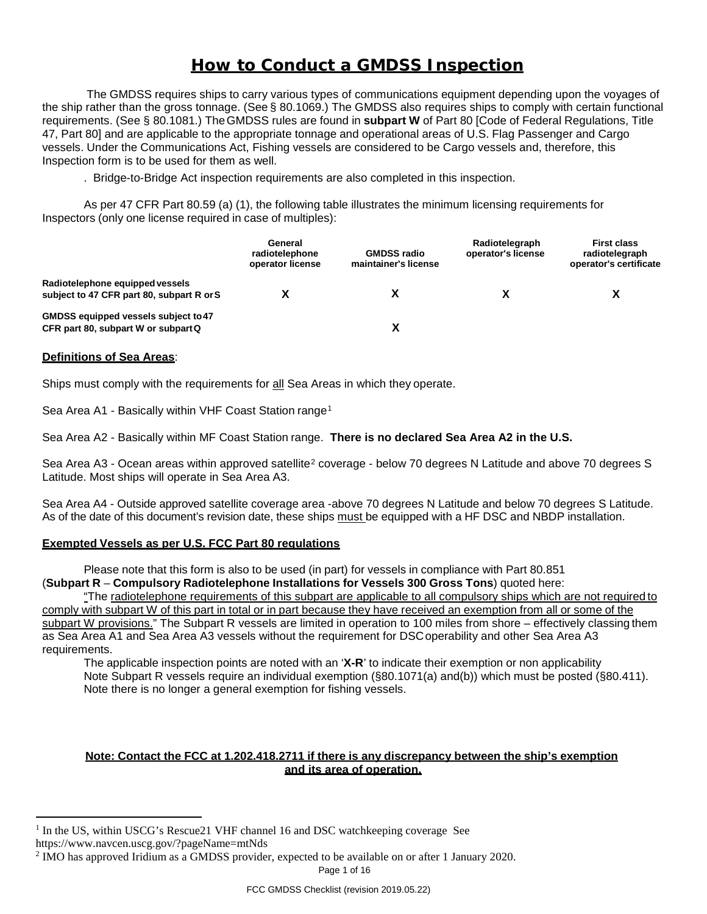# *How to Conduct a GMDSS Inspection*

The GMDSS requires ships to carry various types of communications equipment depending upon the voyages of the ship rather than the gross tonnage. (See § 80.1069.) The GMDSS also requires ships to comply with certain functional requirements. (See § 80.1081.) TheGMDSS rules are found in **subpart W** of Part 80 [Code of Federal Regulations, Title 47, Part 80] and are applicable to the appropriate tonnage and operational areas of U.S. Flag Passenger and Cargo vessels. Under the Communications Act, Fishing vessels are considered to be Cargo vessels and, therefore, this Inspection form is to be used for them as well.

. Bridge-to-Bridge Act inspection requirements are also completed in this inspection.

As per 47 CFR Part 80.59 (a) (1), the following table illustrates the minimum licensing requirements for Inspectors (only one license required in case of multiples):

|                                                                              | General<br>radiotelephone<br>operator license | <b>GMDSS radio</b><br>maintainer's license | Radiotelegraph<br>operator's license | <b>First class</b><br>radiotelegraph<br>operator's certificate |
|------------------------------------------------------------------------------|-----------------------------------------------|--------------------------------------------|--------------------------------------|----------------------------------------------------------------|
| Radiotelephone equipped vessels<br>subject to 47 CFR part 80, subpart R or S |                                               |                                            |                                      |                                                                |
| GMDSS equipped vessels subject to 47<br>CFR part 80, subpart W or subpart Q  |                                               |                                            |                                      |                                                                |

#### **Definitions of Sea Areas**:

Ships must comply with the requirements for all Sea Areas in which they operate.

Sea Area A[1](#page-0-0) - Basically within VHF Coast Station range<sup>1</sup>

Sea Area A2 - Basically within MF Coast Station range. **There is no declared Sea Area A2 in the U.S.**

Sea Area A3 - Ocean areas within approved satellite<sup>[2](#page-0-1)</sup> coverage - below 70 degrees N Latitude and above 70 degrees S Latitude. Most ships will operate in Sea Area A3.

Sea Area A4 - Outside approved satellite coverage area -above 70 degrees N Latitude and below 70 degrees S Latitude. As of the date of this document's revision date, these ships must be equipped with a HF DSC and NBDP installation.

## **Exempted Vessels as per U.S. FCC Part 80 regulations**

Please note that this form is also to be used (in part) for vessels in compliance with Part 80.851 (**Subpart R** – **Compulsory Radiotelephone Installations for Vessels 300 Gross Tons**) quoted here:

"The radiotelephone requirements of this subpart are applicable to all compulsory ships which are not required to comply with subpart W of this part in total or in part because they have received an exemption from all or some of the subpart W provisions." The Subpart R vessels are limited in operation to 100 miles from shore – effectively classing them as Sea Area A1 and Sea Area A3 vessels without the requirement for DSCoperability and other Sea Area A3 requirements.

The applicable inspection points are noted with an '**X-R**' to indicate their exemption or non applicability Note Subpart R vessels require an individual exemption (§80.1071(a) and(b)) which must be posted (§80.411). Note there is no longer a general exemption for fishing vessels.

#### **Note: Contact the FCC at 1.202.418.2711 if there is any discrepancy between the ship's exemption and its area of operation.**

<span id="page-0-0"></span><sup>&</sup>lt;sup>1</sup> In the US, within USCG's Rescue21 VHF channel 16 and DSC watchkeeping coverage See

https://www.navcen.uscg.gov/?pageName=mtNds

<span id="page-0-1"></span><sup>2</sup> IMO has approved Iridium as a GMDSS provider, expected to be available on or after 1 January 2020.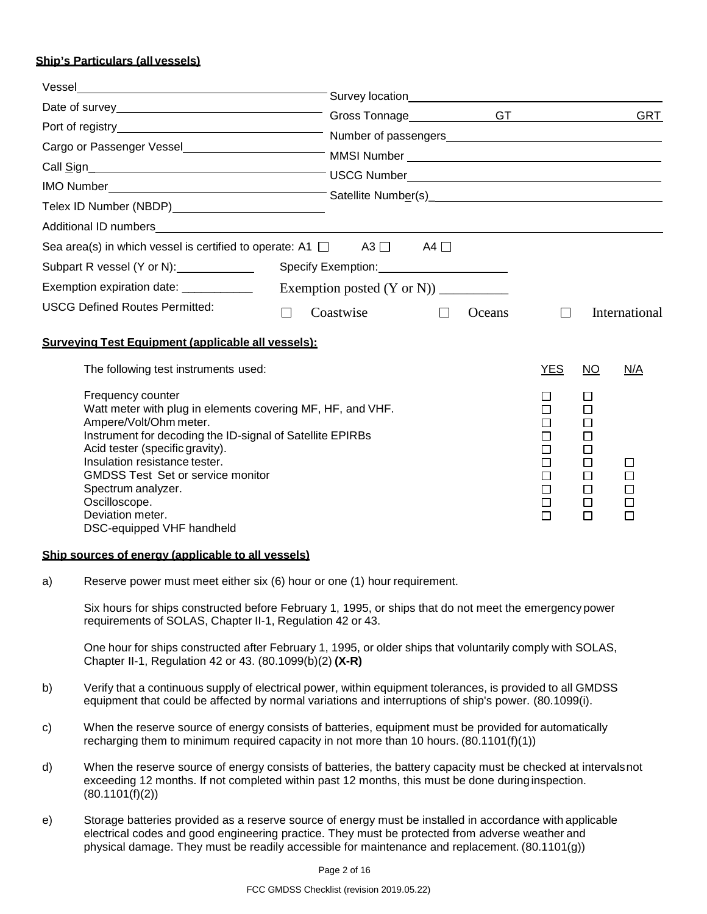### **Ship's Particulars (all vessels)**

| Vessel                                                                                                                                                                                                                                                                                                                                                                         |                |        |        |                                                          |                                                                     |                                      |
|--------------------------------------------------------------------------------------------------------------------------------------------------------------------------------------------------------------------------------------------------------------------------------------------------------------------------------------------------------------------------------|----------------|--------|--------|----------------------------------------------------------|---------------------------------------------------------------------|--------------------------------------|
|                                                                                                                                                                                                                                                                                                                                                                                |                |        |        |                                                          |                                                                     |                                      |
|                                                                                                                                                                                                                                                                                                                                                                                |                |        |        |                                                          |                                                                     | <b>GRT</b>                           |
|                                                                                                                                                                                                                                                                                                                                                                                |                |        |        |                                                          |                                                                     |                                      |
| Cargo or Passenger Vessel <b>Cargo of Passenger Vessel Cargo of Passenger Vessel Cargo of Passenger Vessel Cargo of MMSI Number Cargo of Passenger Vessel Cargo of MMSI Number Cargo of Passenger Cargo of Passenger Cargo of Pa</b>                                                                                                                                           |                |        |        |                                                          |                                                                     |                                      |
| Call Sign<br>Call Sign<br>Call Sign<br>Call Sign<br>Call Sign<br>Call Sign<br>Call Sign<br>Call Sign<br>Call Sign<br>Call Sign<br>Call Sign<br>Call Sign<br>Call Sign<br>Call Sign<br>Call Sign<br>Call Sign<br>Call Sign<br>Call Sign<br>Call Sign<br>Call Sign<br>Ca                                                                                                         |                |        |        |                                                          |                                                                     |                                      |
|                                                                                                                                                                                                                                                                                                                                                                                |                |        |        |                                                          |                                                                     |                                      |
| Telex ID Number (NBDP)<br>Sand Connection Connection Connection Connection Connection Connection Connection Connection Connection Connection Connection Connection Connection Connection Connection Connection Connection Connec                                                                                                                                               |                |        |        |                                                          |                                                                     |                                      |
|                                                                                                                                                                                                                                                                                                                                                                                |                |        |        |                                                          |                                                                     |                                      |
| Sea area(s) in which vessel is certified to operate: A1 $\Box$ A3 $\Box$ A4 $\Box$                                                                                                                                                                                                                                                                                             |                |        |        |                                                          |                                                                     |                                      |
| Subpart R vessel (Y or N): _____________                                                                                                                                                                                                                                                                                                                                       |                |        |        |                                                          |                                                                     |                                      |
| Exemption expiration date: ____________                                                                                                                                                                                                                                                                                                                                        |                |        |        |                                                          |                                                                     |                                      |
| <b>USCG Defined Routes Permitted:</b>                                                                                                                                                                                                                                                                                                                                          | Coastwise<br>П | $\Box$ | Oceans | $\Box$                                                   |                                                                     | International                        |
| Surveving Test Equipment (applicable all vessels):                                                                                                                                                                                                                                                                                                                             |                |        |        |                                                          |                                                                     |                                      |
| The following test instruments used:                                                                                                                                                                                                                                                                                                                                           |                |        |        | <b>YES</b>                                               | <b>NO</b>                                                           | N/A                                  |
| Frequency counter<br>Watt meter with plug in elements covering MF, HF, and VHF.<br>Ampere/Volt/Ohm meter.<br>Instrument for decoding the ID-signal of Satellite EPIRBs<br>Acid tester (specific gravity).<br>Insulation resistance tester.<br><b>GMDSS Test Set or service monitor</b><br>Spectrum analyzer.<br>Oscilloscope.<br>Deviation meter.<br>DSC-equipped VHF handheld |                |        |        | П<br>П<br>□<br>$\Box$<br>□<br>П<br>$\Box$<br>□<br>$\Box$ | LI<br>□<br>П<br>□<br>$\Box$<br>$\Box$<br>$\Box$<br>□<br>□<br>$\Box$ | □<br>П<br>$\Box$<br>$\Box$<br>$\Box$ |

#### **Ship sources of energy (applicable to all vessels)**

a) Reserve power must meet either six (6) hour or one (1) hour requirement.

Six hours for ships constructed before February 1, 1995, or ships that do not meet the emergency power requirements of SOLAS, Chapter II-1, Regulation 42 or 43.

One hour for ships constructed after February 1, 1995, or older ships that voluntarily comply with SOLAS, Chapter II-1, Regulation 42 or 43. (80.1099(b)(2) **(X-R)**

- b) Verify that a continuous supply of electrical power, within equipment tolerances, is provided to all GMDSS equipment that could be affected by normal variations and interruptions of ship's power. (80.1099(i).
- c) When the reserve source of energy consists of batteries, equipment must be provided for automatically recharging them to minimum required capacity in not more than 10 hours.  $(80.1101(f)(1))$
- d) When the reserve source of energy consists of batteries, the battery capacity must be checked at intervalsnot exceeding 12 months. If not completed within past 12 months, this must be done duringinspection. (80.1101(f)(2))
- e) Storage batteries provided as a reserve source of energy must be installed in accordance with applicable electrical codes and good engineering practice. They must be protected from adverse weather and physical damage. They must be readily accessible for maintenance and replacement. (80.1101(g))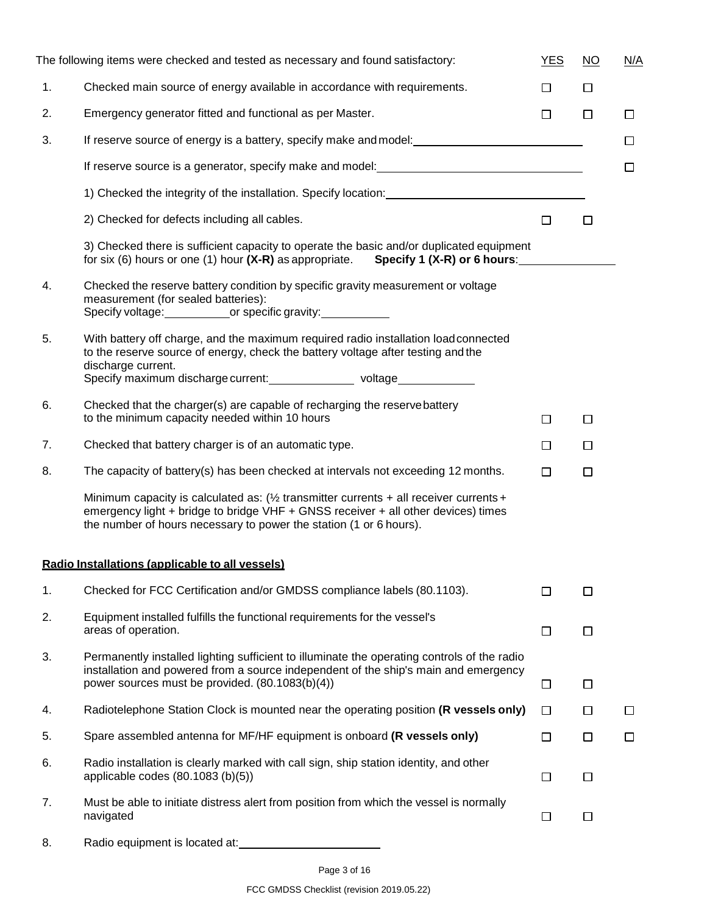|    | The following items were checked and tested as necessary and found satisfactory:                                                                                                                                                                           | <b>YES</b> | $\overline{NO}$ | N/A    |
|----|------------------------------------------------------------------------------------------------------------------------------------------------------------------------------------------------------------------------------------------------------------|------------|-----------------|--------|
| 1. | Checked main source of energy available in accordance with requirements.                                                                                                                                                                                   | $\Box$     | □               |        |
| 2. | Emergency generator fitted and functional as per Master.                                                                                                                                                                                                   | $\Box$     | $\Box$          | $\Box$ |
| 3. | If reserve source of energy is a battery, specify make and model: <b>Same and model</b> of the source of energy is a battery, specify make and model:                                                                                                      |            |                 | $\Box$ |
|    |                                                                                                                                                                                                                                                            |            |                 | □      |
|    |                                                                                                                                                                                                                                                            |            |                 |        |
|    | 2) Checked for defects including all cables.                                                                                                                                                                                                               | $\Box$     | $\Box$          |        |
|    | 3) Checked there is sufficient capacity to operate the basic and/or duplicated equipment<br>for six (6) hours or one (1) hour $(X-R)$ as appropriate. Specify 1 $(X-R)$ or 6 hours:                                                                        |            |                 |        |
| 4. | Checked the reserve battery condition by specific gravity measurement or voltage<br>measurement (for sealed batteries):<br>Specify voltage: ______________or specific gravity: _______                                                                     |            |                 |        |
| 5. | With battery off charge, and the maximum required radio installation load connected<br>to the reserve source of energy, check the battery voltage after testing and the<br>discharge current.                                                              |            |                 |        |
| 6. | Checked that the charger(s) are capable of recharging the reservebattery                                                                                                                                                                                   |            |                 |        |
|    | to the minimum capacity needed within 10 hours                                                                                                                                                                                                             | $\Box$     | $\Box$          |        |
| 7. | Checked that battery charger is of an automatic type.                                                                                                                                                                                                      | $\Box$     | $\Box$          |        |
| 8. | The capacity of battery(s) has been checked at intervals not exceeding 12 months.                                                                                                                                                                          | $\Box$     | $\Box$          |        |
|    | Minimum capacity is calculated as: $\frac{1}{2}$ transmitter currents + all receiver currents +<br>emergency light + bridge to bridge VHF + GNSS receiver + all other devices) times<br>the number of hours necessary to power the station (1 or 6 hours). |            |                 |        |
|    | Radio Installations (applicable to all vessels)                                                                                                                                                                                                            |            |                 |        |
| 1. | Checked for FCC Certification and/or GMDSS compliance labels (80.1103).                                                                                                                                                                                    | Ш          | $\Box$          |        |
| 2. | Equipment installed fulfills the functional requirements for the vessel's<br>areas of operation.                                                                                                                                                           | $\Box$     | □               |        |
| 3. | Permanently installed lighting sufficient to illuminate the operating controls of the radio<br>installation and powered from a source independent of the ship's main and emergency<br>power sources must be provided. (80.1083(b)(4))                      | $\Box$     | $\Box$          |        |
| 4. | Radiotelephone Station Clock is mounted near the operating position (R vessels only)                                                                                                                                                                       | □          | $\Box$          | □      |
| 5. | Spare assembled antenna for MF/HF equipment is onboard (R vessels only)                                                                                                                                                                                    | □          | □               | □      |
| 6. | Radio installation is clearly marked with call sign, ship station identity, and other<br>applicable codes (80.1083 (b)(5))                                                                                                                                 | $\Box$     | $\Box$          |        |
| 7. | Must be able to initiate distress alert from position from which the vessel is normally<br>navigated                                                                                                                                                       | $\Box$     | □               |        |
|    | بلوالمملوم والمألفة ومستأنيهم                                                                                                                                                                                                                              |            |                 |        |

8. Radio equipment is located at: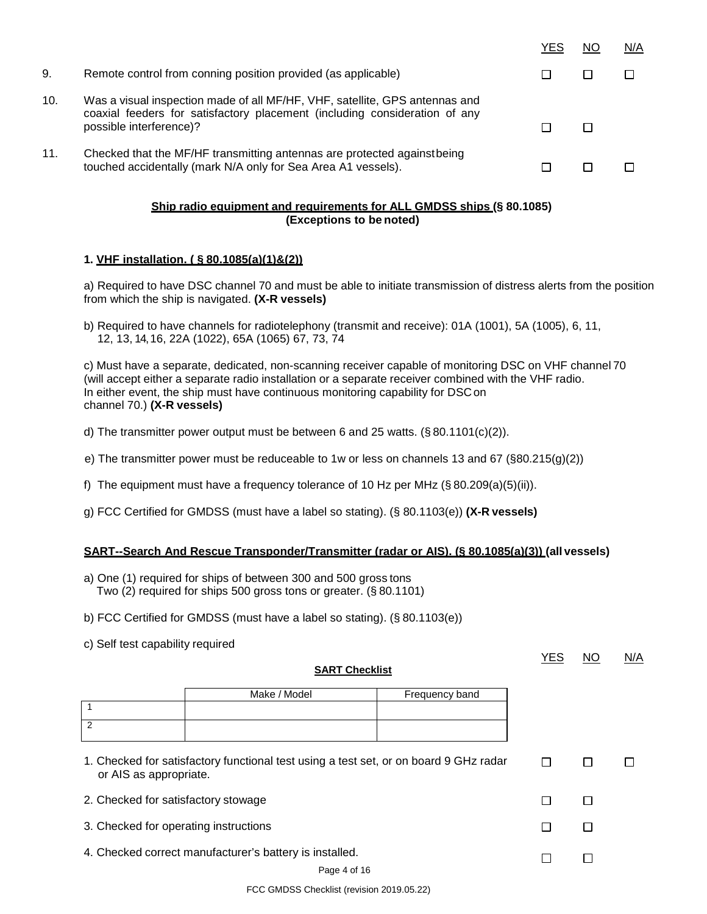|     |                                                                                                                                                                                      | YES | NC | N/A |
|-----|--------------------------------------------------------------------------------------------------------------------------------------------------------------------------------------|-----|----|-----|
| 9.  | Remote control from conning position provided (as applicable)                                                                                                                        |     |    |     |
| 10. | Was a visual inspection made of all MF/HF, VHF, satellite, GPS antennas and<br>coaxial feeders for satisfactory placement (including consideration of any<br>possible interference)? |     |    |     |
| 11. | Checked that the MF/HF transmitting antennas are protected against being<br>touched accidentally (mark N/A only for Sea Area A1 vessels).                                            |     |    |     |

## **Ship radio equipment and requirements for ALL GMDSS ships (§ 80.1085) (Exceptions to be noted)**

#### **1. VHF installation. ( § 80.1085(a)(1)&(2))**

a) Required to have DSC channel 70 and must be able to initiate transmission of distress alerts from the position from which the ship is navigated. **(X-R vessels)**

b) Required to have channels for radiotelephony (transmit and receive): 01A (1001), 5A (1005), 6, 11, 12, 13, 14, 16, 22A (1022), 65A (1065) 67, 73, 74

c) Must have a separate, dedicated, non-scanning receiver capable of monitoring DSC on VHF channel 70 (will accept either a separate radio installation or a separate receiver combined with the VHF radio. In either event, the ship must have continuous monitoring capability for DSCon channel 70.) **(X-R vessels)**

- d) The transmitter power output must be between 6 and 25 watts.  $(\S 80.1101(c)(2))$ .
- e) The transmitter power must be reduceable to 1w or less on channels 13 and 67 (§80.215(g)(2))
- f) The equipment must have a frequency tolerance of 10 Hz per MHz  $(\S 80.209(a)(5)(ii))$ .
- g) FCC Certified for GMDSS (must have a label so stating). (§ 80.1103(e)) **(X-R vessels)**

#### **SART--Search And Rescue Transponder/Transmitter (radar or AIS). (§ 80.1085(a)(3)) (all vessels)**

- a) One (1) required for ships of between 300 and 500 gross tons Two (2) required for ships 500 gross tons or greater. (§ 80.1101)
- b) FCC Certified for GMDSS (must have a label so stating). (§ 80.1103(e))
- c) Self test capability required

1 2

#### **SART Checklist**

Make / Model Frequency band

YES NO N/A

| 1. Checked for satisfactory functional test using a test set, or on board 9 GHz radar<br>or AIS as appropriate. |  |  |
|-----------------------------------------------------------------------------------------------------------------|--|--|
| 2. Checked for satisfactory stowage                                                                             |  |  |
| 3. Checked for operating instructions                                                                           |  |  |
| 4. Checked correct manufacturer's battery is installed.                                                         |  |  |
| Page 4 of 16                                                                                                    |  |  |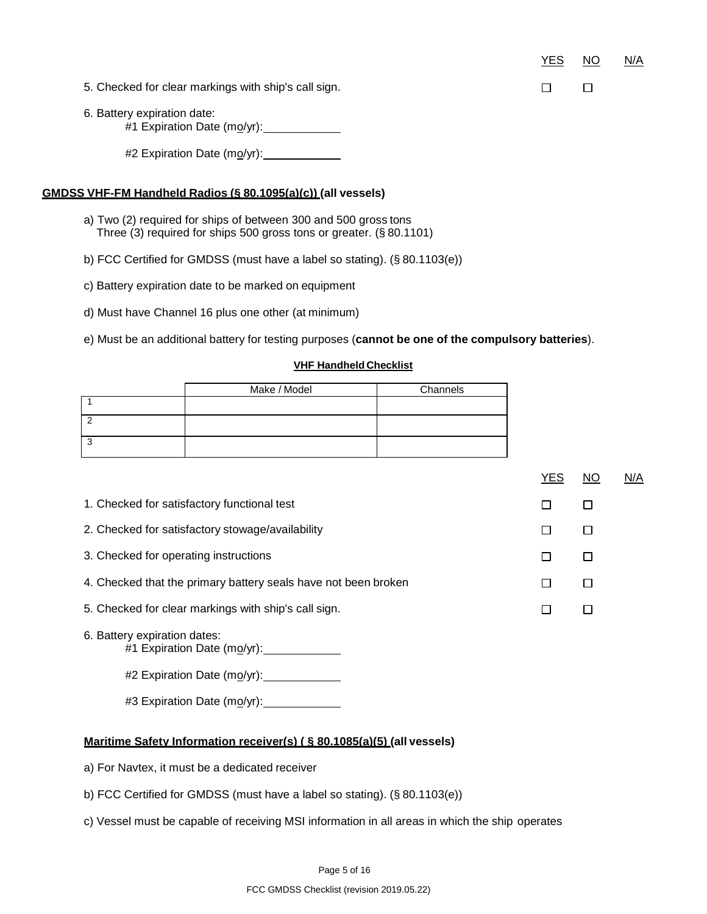YES NO N/A

 $\Box$ 

 $\Box$ 

- 5. Checked for clear markings with ship's call sign.
- 6. Battery expiration date: #1 Expiration Date (mo/yr):

#2 Expiration Date (mo/yr):

### **GMDSS VHF-FM Handheld Radios (§ 80.1095(a)(c)) (all vessels)**

- a) Two (2) required for ships of between 300 and 500 gross tons Three (3) required for ships 500 gross tons or greater. (§ 80.1101)
- b) FCC Certified for GMDSS (must have a label so stating). (§ 80.1103(e))
- c) Battery expiration date to be marked on equipment
- d) Must have Channel 16 plus one other (at minimum)

e) Must be an additional battery for testing purposes (**cannot be one of the compulsory batteries**).

#### **VHF Handheld Checklist**

|   | Make / Model | Channels |
|---|--------------|----------|
|   |              |          |
|   |              |          |
| ◠ |              |          |

|                                                                | <b>YES</b> | NO | N/A |
|----------------------------------------------------------------|------------|----|-----|
| 1. Checked for satisfactory functional test                    |            |    |     |
| 2. Checked for satisfactory stowage/availability               |            |    |     |
| 3. Checked for operating instructions                          |            |    |     |
| 4. Checked that the primary battery seals have not been broken |            |    |     |
| 5. Checked for clear markings with ship's call sign.           |            |    |     |
| 6. Battery expiration dates:                                   |            |    |     |

#1 Expiration Date (mo/yr):

#2 Expiration Date (mo/yr): \_\_\_\_\_\_\_\_\_\_\_\_\_

#3 Expiration Date (mo/yr):

## **Maritime Safety Information receiver(s) ( § 80.1085(a)(5) (all vessels)**

- a) For Navtex, it must be a dedicated receiver
- b) FCC Certified for GMDSS (must have a label so stating). (§ 80.1103(e))
- c) Vessel must be capable of receiving MSI information in all areas in which the ship operates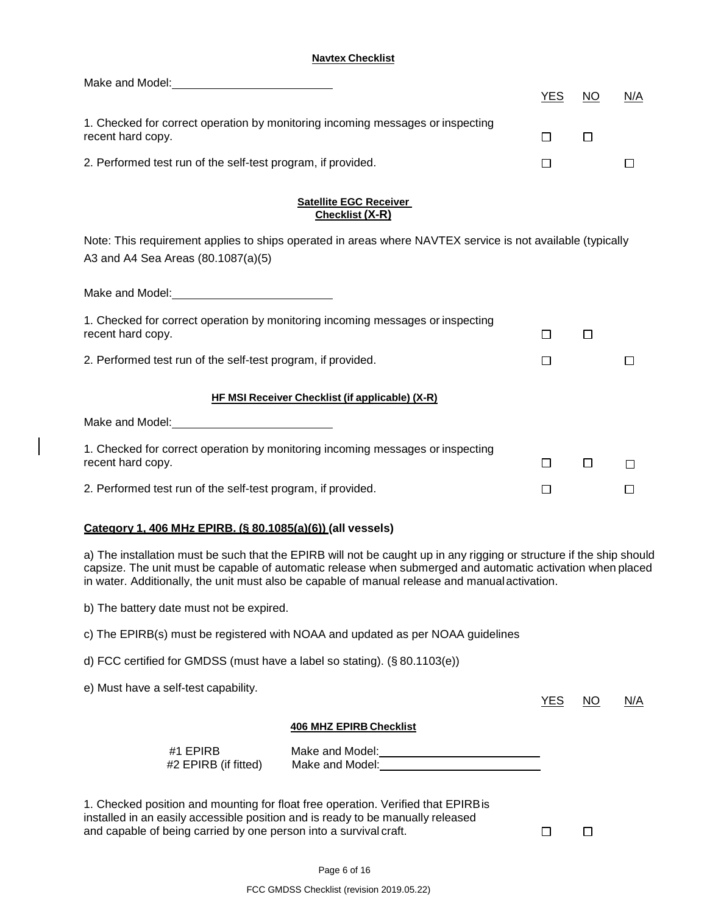### **Navtex Checklist**

| Make and Model:<br><u> Make and Model:</u>                                                                                                           |                                                                                                                                                                                                                                                                                                                                      |            |               |        |
|------------------------------------------------------------------------------------------------------------------------------------------------------|--------------------------------------------------------------------------------------------------------------------------------------------------------------------------------------------------------------------------------------------------------------------------------------------------------------------------------------|------------|---------------|--------|
|                                                                                                                                                      |                                                                                                                                                                                                                                                                                                                                      | <u>YES</u> | <sub>NO</sub> | N/A    |
| recent hard copy.                                                                                                                                    | 1. Checked for correct operation by monitoring incoming messages or inspecting                                                                                                                                                                                                                                                       | □          | $\Box$        |        |
| 2. Performed test run of the self-test program, if provided.                                                                                         |                                                                                                                                                                                                                                                                                                                                      | □          |               | $\Box$ |
|                                                                                                                                                      |                                                                                                                                                                                                                                                                                                                                      |            |               |        |
|                                                                                                                                                      | <b>Satellite EGC Receiver</b><br>Checklist (X-R)                                                                                                                                                                                                                                                                                     |            |               |        |
| A3 and A4 Sea Areas (80.1087(a)(5)                                                                                                                   | Note: This requirement applies to ships operated in areas where NAVTEX service is not available (typically                                                                                                                                                                                                                           |            |               |        |
| Make and Model: Make and Model:                                                                                                                      |                                                                                                                                                                                                                                                                                                                                      |            |               |        |
| recent hard copy.                                                                                                                                    | 1. Checked for correct operation by monitoring incoming messages or inspecting                                                                                                                                                                                                                                                       | $\Box$     | $\Box$        |        |
| 2. Performed test run of the self-test program, if provided.                                                                                         |                                                                                                                                                                                                                                                                                                                                      | П          |               |        |
|                                                                                                                                                      | HF MSI Receiver Checklist (if applicable) (X-R)                                                                                                                                                                                                                                                                                      |            |               |        |
|                                                                                                                                                      |                                                                                                                                                                                                                                                                                                                                      |            |               |        |
| recent hard copy.                                                                                                                                    | 1. Checked for correct operation by monitoring incoming messages or inspecting                                                                                                                                                                                                                                                       | $\Box$     | □             | □      |
| 2. Performed test run of the self-test program, if provided.                                                                                         |                                                                                                                                                                                                                                                                                                                                      | $\Box$     |               | $\Box$ |
| Category 1. 406 MHz EPIRB. (§ 80.1085(a)(6)) (all vessels)                                                                                           |                                                                                                                                                                                                                                                                                                                                      |            |               |        |
|                                                                                                                                                      | a) The installation must be such that the EPIRB will not be caught up in any rigging or structure if the ship should<br>capsize. The unit must be capable of automatic release when submerged and automatic activation when placed<br>in water. Additionally, the unit must also be capable of manual release and manual activation. |            |               |        |
| b) The battery date must not be expired.                                                                                                             |                                                                                                                                                                                                                                                                                                                                      |            |               |        |
|                                                                                                                                                      | c) The EPIRB(s) must be registered with NOAA and updated as per NOAA guidelines                                                                                                                                                                                                                                                      |            |               |        |
| d) FCC certified for GMDSS (must have a label so stating). (§80.1103(e))                                                                             |                                                                                                                                                                                                                                                                                                                                      |            |               |        |
| e) Must have a self-test capability.                                                                                                                 |                                                                                                                                                                                                                                                                                                                                      | <b>YES</b> | NO.           | N/A    |
|                                                                                                                                                      | <b>406 MHZ EPIRB Checklist</b>                                                                                                                                                                                                                                                                                                       |            |               |        |
| #1 EPIRB<br>#2 EPIRB (if fitted)                                                                                                                     | Make and Model:<br><u> Make and Model</u> :<br>Make and Model: Make and Model:                                                                                                                                                                                                                                                       |            |               |        |
| installed in an easily accessible position and is ready to be manually released<br>and capable of being carried by one person into a survival craft. | 1. Checked position and mounting for float free operation. Verified that EPIRB is                                                                                                                                                                                                                                                    | $\Box$     | U             |        |

 $\overline{\phantom{a}}$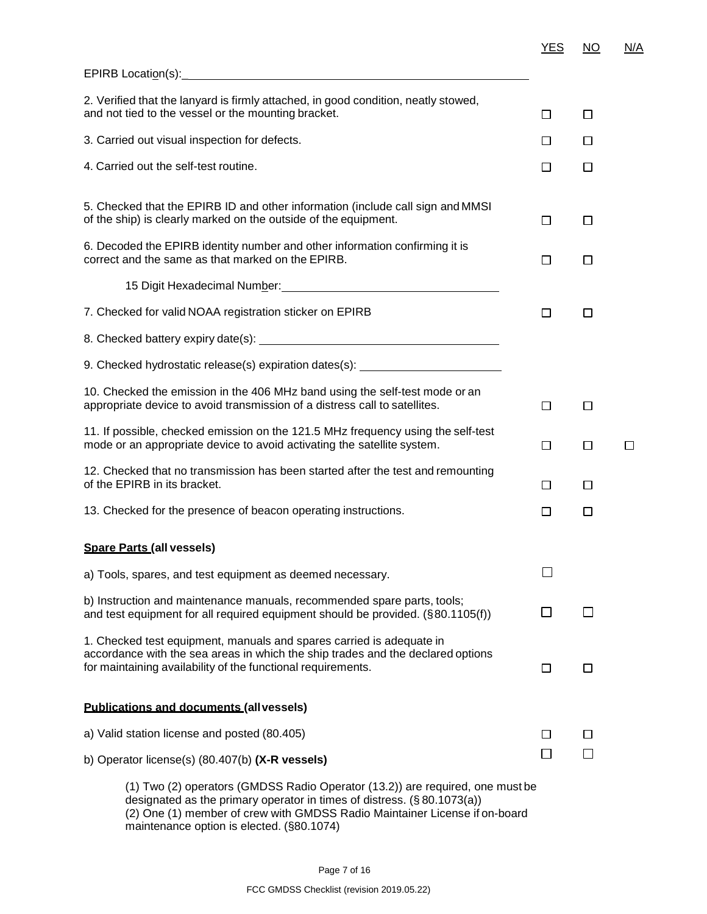| 2. Verified that the lanyard is firmly attached, in good condition, neatly stowed,<br>and not tied to the vessel or the mounting bracket.                                                                                      | $\Box$ | $\Box$ |   |
|--------------------------------------------------------------------------------------------------------------------------------------------------------------------------------------------------------------------------------|--------|--------|---|
| 3. Carried out visual inspection for defects.                                                                                                                                                                                  | $\Box$ | $\Box$ |   |
| 4. Carried out the self-test routine.                                                                                                                                                                                          | $\Box$ | ⊔      |   |
| 5. Checked that the EPIRB ID and other information (include call sign and MMSI<br>of the ship) is clearly marked on the outside of the equipment.                                                                              | □      | □      |   |
| 6. Decoded the EPIRB identity number and other information confirming it is<br>correct and the same as that marked on the EPIRB.                                                                                               | $\Box$ | $\Box$ |   |
| 15 Digit Hexadecimal Number: National According to the Contract of the Contract of the Contract of the Contract of the Contract of the Contract of the Contract of the Contract of the Contract of the Contract of the Contrac |        |        |   |
| 7. Checked for valid NOAA registration sticker on EPIRB                                                                                                                                                                        | $\Box$ | □      |   |
|                                                                                                                                                                                                                                |        |        |   |
| 9. Checked hydrostatic release(s) expiration dates(s): _________________________                                                                                                                                               |        |        |   |
| 10. Checked the emission in the 406 MHz band using the self-test mode or an<br>appropriate device to avoid transmission of a distress call to satellites.                                                                      | $\Box$ | □      |   |
| 11. If possible, checked emission on the 121.5 MHz frequency using the self-test<br>mode or an appropriate device to avoid activating the satellite system.                                                                    | □      | □      | □ |
| 12. Checked that no transmission has been started after the test and remounting<br>of the EPIRB in its bracket.                                                                                                                | $\Box$ | ப      |   |
| 13. Checked for the presence of beacon operating instructions.                                                                                                                                                                 | □      | □      |   |
| <b>Spare Parts (all vessels)</b>                                                                                                                                                                                               |        |        |   |
| a) Tools, spares, and test equipment as deemed necessary.                                                                                                                                                                      | L.     |        |   |
| b) Instruction and maintenance manuals, recommended spare parts, tools;<br>and test equipment for all required equipment should be provided. (§80.1105(f))                                                                     |        |        |   |
| 1. Checked test equipment, manuals and spares carried is adequate in<br>accordance with the sea areas in which the ship trades and the declared options<br>for maintaining availability of the functional requirements.        | П      | П      |   |
| <b>Publications and documents (all vessels)</b>                                                                                                                                                                                |        |        |   |
| a) Valid station license and posted (80.405)                                                                                                                                                                                   | П      | ΙI     |   |
| b) Operator license(s) (80.407(b) (X-R vessels)                                                                                                                                                                                |        |        |   |
| (1) Two (2) operators (GMDSS Radio Operator (13.2)) are required, one must be                                                                                                                                                  |        |        |   |

designated as the primary operator in times of distress. (§ 80.1073(a))

(2) One (1) member of crew with GMDSS Radio Maintainer License if on-board maintenance option is elected. (§80.1074)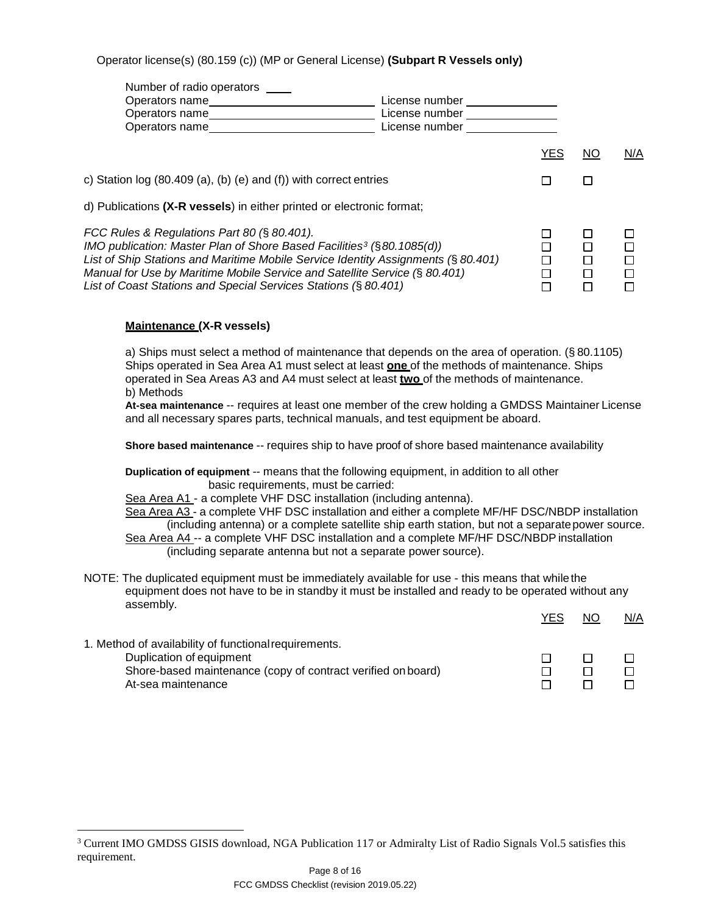## Operator license(s) (80.159 (c)) (MP or General License) **(Subpart R Vessels only)**

| Number of radio operators                                                              |                |     |    |     |
|----------------------------------------------------------------------------------------|----------------|-----|----|-----|
| Operators name                                                                         | License number |     |    |     |
| Operators name                                                                         | License number |     |    |     |
| Operators name_                                                                        | License number |     |    |     |
|                                                                                        |                | YES | NO | N/A |
| c) Station $log(80.409(a), (b) (e)$ and $(f)$ ) with correct entries                   |                |     |    |     |
| d) Publications (X-R vessels) in either printed or electronic format;                  |                |     |    |     |
| FCC Rules & Regulations Part 80 (§ 80.401).                                            |                |     |    |     |
| IMO publication: Master Plan of Shore Based Facilities <sup>3</sup> ( $\S$ 80.1085(d)) |                |     |    |     |
| List of Ship Stations and Maritime Mobile Service Identity Assignments (§ 80.401)      |                |     |    |     |
| Manual for Use by Maritime Mobile Service and Satellite Service (§ 80.401)             |                |     |    |     |
| List of Coast Stations and Special Services Stations (§ 80.401)                        |                |     |    |     |

### **Maintenance (X-R vessels)**

a) Ships must select a method of maintenance that depends on the area of operation. (§ 80.1105) Ships operated in Sea Area A1 must select at least **one** of the methods of maintenance. Ships operated in Sea Areas A3 and A4 must select at least **two** of the methods of maintenance. b) Methods

**At-sea maintenance** -- requires at least one member of the crew holding a GMDSS Maintainer License and all necessary spares parts, technical manuals, and test equipment be aboard.

**Shore based maintenance** -- requires ship to have proof of shore based maintenance availability

**Duplication of equipment** -- means that the following equipment, in addition to all other basic requirements, must be carried:

Sea Area A1 - a complete VHF DSC installation (including antenna).

Sea Area A3 - a complete VHF DSC installation and either a complete MF/HF DSC/NBDP installation (including antenna) or a complete satellite ship earth station, but not a separatepower source.

| including antenna) or a complete sateme sinp early station, but not a separate power sourc |
|--------------------------------------------------------------------------------------------|
| Sea Area A4 -- a complete VHF DSC installation and a complete MF/HF DSC/NBDP installation  |
| (including separate antenna but not a separate power source).                              |

NOTE: The duplicated equipment must be immediately available for use - this means that whilethe equipment does not have to be in standby it must be installed and ready to be operated without any assembly.

|                                                              | <b>YES</b> | <b>NO</b> | N/A |
|--------------------------------------------------------------|------------|-----------|-----|
| 1. Method of availability of functional requirements.        |            |           |     |
| Duplication of equipment                                     |            |           |     |
| Shore-based maintenance (copy of contract verified on board) |            |           |     |
| At-sea maintenance                                           |            |           |     |

<span id="page-7-0"></span><sup>&</sup>lt;sup>3</sup> Current IMO GMDSS GISIS download, NGA Publication 117 or Admiralty List of Radio Signals Vol.5 satisfies this requirement.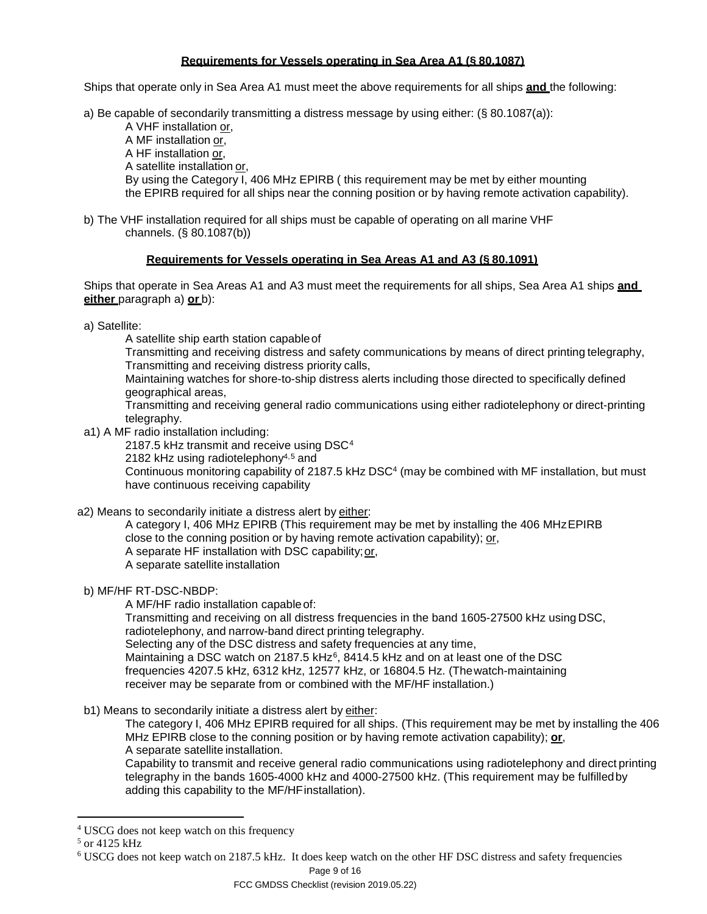### **Requirements for Vessels operating in Sea Area A1 (§ 80.1087)**

Ships that operate only in Sea Area A1 must meet the above requirements for all ships **and** the following:

a) Be capable of secondarily transmitting a distress message by using either: (§ 80.1087(a)):

A VHF installation or, A MF installation or, A HF installation or, A satellite installation or, By using the Category I, 406 MHz EPIRB ( this requirement may be met by either mounting the EPIRB required for all ships near the conning position or by having remote activation capability).

b) The VHF installation required for all ships must be capable of operating on all marine VHF channels. (§ 80.1087(b))

### **Requirements for Vessels operating in Sea Areas A1 and A3 (§ 80.1091)**

Ships that operate in Sea Areas A1 and A3 must meet the requirements for all ships, Sea Area A1 ships **and either** paragraph a) **or** b):

a) Satellite:

A satellite ship earth station capableof

Transmitting and receiving distress and safety communications by means of direct printing telegraphy, Transmitting and receiving distress priority calls,

Maintaining watches for shore-to-ship distress alerts including those directed to specifically defined geographical areas,

Transmitting and receiving general radio communications using either radiotelephony or direct-printing telegraphy.

a1) A MF radio installation including:

2187.5 kHz transmit and receive using DSC<sup>[4](#page-8-0)</sup>

2182 kHz using radiotelephony $4,5$  $4,5$  and

Continuous monitoring capability of 2187.5 kHz DSC4 (may be combined with MF installation, but must have continuous receiving capability

a2) Means to secondarily initiate a distress alert by either:

A category I, 406 MHz EPIRB (This requirement may be met by installing the 406 MHzEPIRB close to the conning position or by having remote activation capability); or, A separate HF installation with DSC capability;or, A separate satellite installation

b) MF/HF RT-DSC-NBDP:

A MF/HF radio installation capableof:

Transmitting and receiving on all distress frequencies in the band 1605-27500 kHz using DSC, radiotelephony, and narrow-band direct printing telegraphy. Selecting any of the DSC distress and safety frequencies at any time, Maintaining a DSC watch on 2187.5 kHz<sup>[6](#page-8-2)</sup>, 8414.5 kHz and on at least one of the DSC frequencies 4207.5 kHz, 6312 kHz, 12577 kHz, or 16804.5 Hz. (Thewatch-maintaining

receiver may be separate from or combined with the MF/HF installation.)

b1) Means to secondarily initiate a distress alert by either:

The category I, 406 MHz EPIRB required for all ships. (This requirement may be met by installing the 406 MHz EPIRB close to the conning position or by having remote activation capability); **or**, A separate satellite installation.

Capability to transmit and receive general radio communications using radiotelephony and direct printing telegraphy in the bands 1605-4000 kHz and 4000-27500 kHz. (This requirement may be fulfilledby adding this capability to the MF/HFinstallation).

<span id="page-8-0"></span><sup>&</sup>lt;sup>4</sup> USCG does not keep watch on this frequency

<span id="page-8-1"></span><sup>&</sup>lt;sup>5</sup> or 4125 kHz

<span id="page-8-2"></span><sup>6</sup> USCG does not keep watch on 2187.5 kHz. It does keep watch on the other HF DSC distress and safety frequencies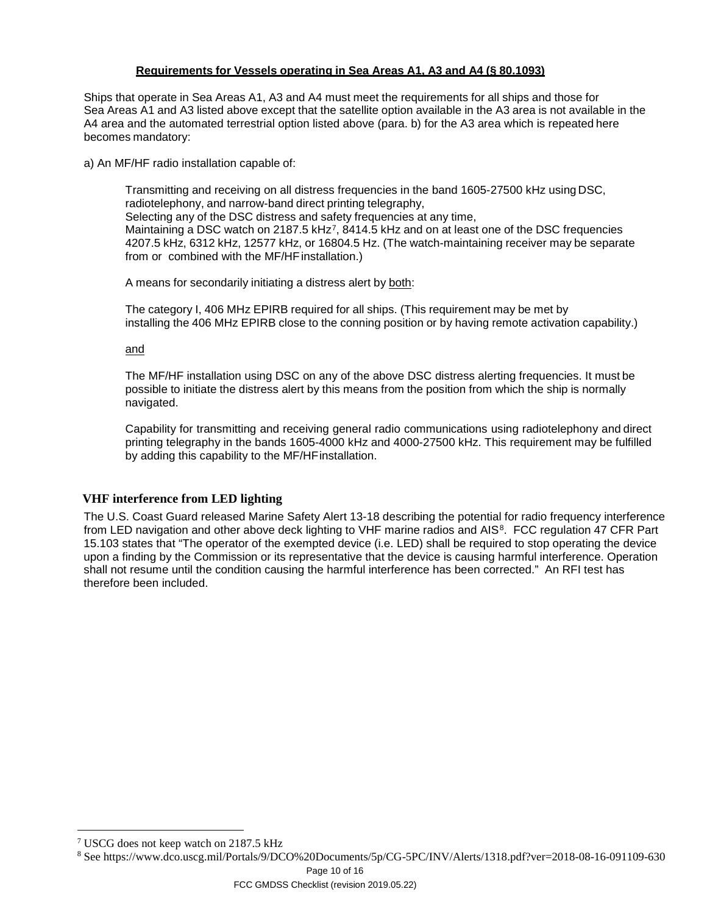## **Requirements for Vessels operating in Sea Areas A1, A3 and A4 (§ 80.1093)**

Ships that operate in Sea Areas A1, A3 and A4 must meet the requirements for all ships and those for Sea Areas A1 and A3 listed above except that the satellite option available in the A3 area is not available in the A4 area and the automated terrestrial option listed above (para. b) for the A3 area which is repeated here becomes mandatory:

a) An MF/HF radio installation capable of:

Transmitting and receiving on all distress frequencies in the band 1605-27500 kHz using DSC, radiotelephony, and narrow-band direct printing telegraphy, Selecting any of the DSC distress and safety frequencies at any time, Maintaining a DSC watch on 218[7](#page-9-0).5 kHz<sup>7</sup>, 8414.5 kHz and on at least one of the DSC frequencies 4207.5 kHz, 6312 kHz, 12577 kHz, or 16804.5 Hz. (The watch-maintaining receiver may be separate from or combined with the MF/HF installation.)

A means for secondarily initiating a distress alert by both:

The category I, 406 MHz EPIRB required for all ships. (This requirement may be met by installing the 406 MHz EPIRB close to the conning position or by having remote activation capability.)

and

The MF/HF installation using DSC on any of the above DSC distress alerting frequencies. It must be possible to initiate the distress alert by this means from the position from which the ship is normally navigated.

Capability for transmitting and receiving general radio communications using radiotelephony and direct printing telegraphy in the bands 1605-4000 kHz and 4000-27500 kHz. This requirement may be fulfilled by adding this capability to the MF/HFinstallation.

## **VHF interference from LED lighting**

The U.S. Coast Guard released Marine Safety Alert 13-18 describing the potential for radio frequency interference from LED navigation and other above deck lighting to VHF marine radios and AIS<sup>[8](#page-9-1)</sup>. FCC regulation 47 CFR Part 15.103 states that "The operator of the exempted device (i.e. LED) shall be required to stop operating the device upon a finding by the Commission or its representative that the device is causing harmful interference. Operation shall not resume until the condition causing the harmful interference has been corrected." An RFI test has therefore been included.

Page 10 of 16

<span id="page-9-0"></span> <sup>7</sup> USCG does not keep watch on 2187.5 kHz

<span id="page-9-1"></span><sup>8</sup> See https://www.dco.uscg.mil/Portals/9/DCO%20Documents/5p/CG-5PC/INV/Alerts/1318.pdf?ver=2018-08-16-091109-630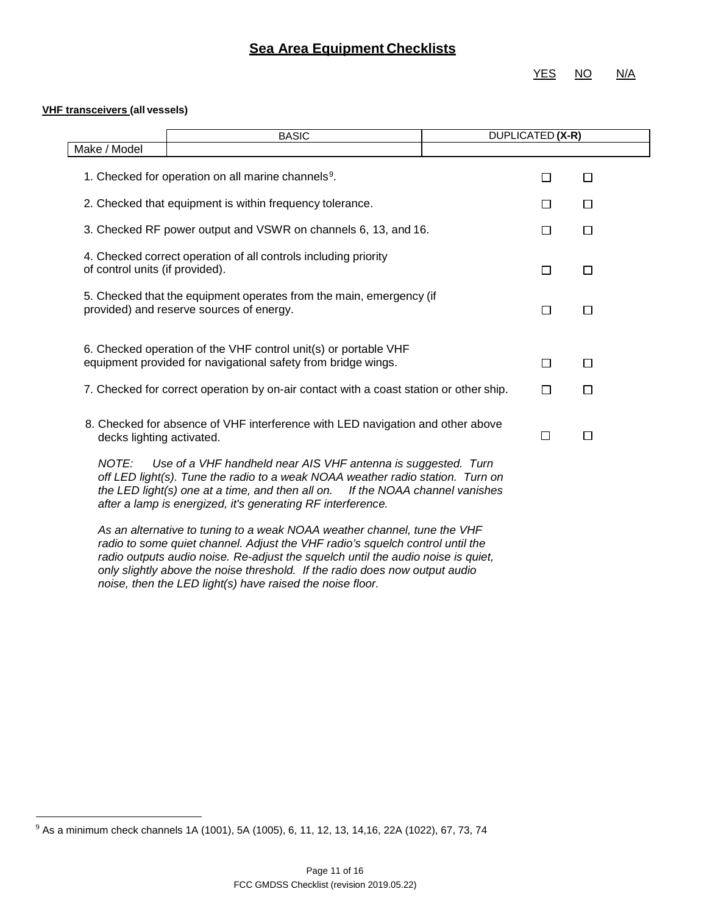## **Sea Area Equipment Checklists**

YES NO N/A

#### **VHF transceivers (all vessels)**

|                                 | <b>BASIC</b>                                                                                                                                                                                                                                                                                    | DUPLICATED (X-R) |        |  |
|---------------------------------|-------------------------------------------------------------------------------------------------------------------------------------------------------------------------------------------------------------------------------------------------------------------------------------------------|------------------|--------|--|
| Make / Model                    |                                                                                                                                                                                                                                                                                                 |                  |        |  |
|                                 | 1. Checked for operation on all marine channels <sup>9</sup> .                                                                                                                                                                                                                                  | □                | $\Box$ |  |
|                                 | 2. Checked that equipment is within frequency tolerance.                                                                                                                                                                                                                                        | □                | □      |  |
|                                 | 3. Checked RF power output and VSWR on channels 6, 13, and 16.                                                                                                                                                                                                                                  | □                | $\Box$ |  |
| of control units (if provided). | 4. Checked correct operation of all controls including priority                                                                                                                                                                                                                                 | □                | □      |  |
|                                 | 5. Checked that the equipment operates from the main, emergency (if<br>provided) and reserve sources of energy.                                                                                                                                                                                 | □                | $\Box$ |  |
|                                 | 6. Checked operation of the VHF control unit(s) or portable VHF<br>equipment provided for navigational safety from bridge wings.                                                                                                                                                                | □                | П      |  |
|                                 | 7. Checked for correct operation by on-air contact with a coast station or other ship.                                                                                                                                                                                                          | □                | П      |  |
| decks lighting activated.       | 8. Checked for absence of VHF interference with LED navigation and other above                                                                                                                                                                                                                  | $\Box$           | $\Box$ |  |
| NOTE:                           | Use of a VHF handheld near AIS VHF antenna is suggested. Turn<br>off LED light(s). Tune the radio to a weak NOAA weather radio station. Turn on<br>the LED light(s) one at a time, and then all on. If the NOAA channel vanishes<br>after a lamp is energized, it's generating RF interference. |                  |        |  |
|                                 | As an alternative to tuning to a weak NOAA weather channel, tune the VHF                                                                                                                                                                                                                        |                  |        |  |

*radio to some quiet channel. Adjust the VHF radio's squelch control until the radio outputs audio noise. Re-adjust the squelch until the audio noise is quiet, only slightly above the noise threshold. If the radio does now output audio noise, then the LED light(s) have raised the noise floor.*

<span id="page-10-0"></span> <sup>9</sup> As a minimum check channels 1A (1001), 5A (1005), 6, 11, 12, 13, 14,16, 22A (1022), 67, 73, 74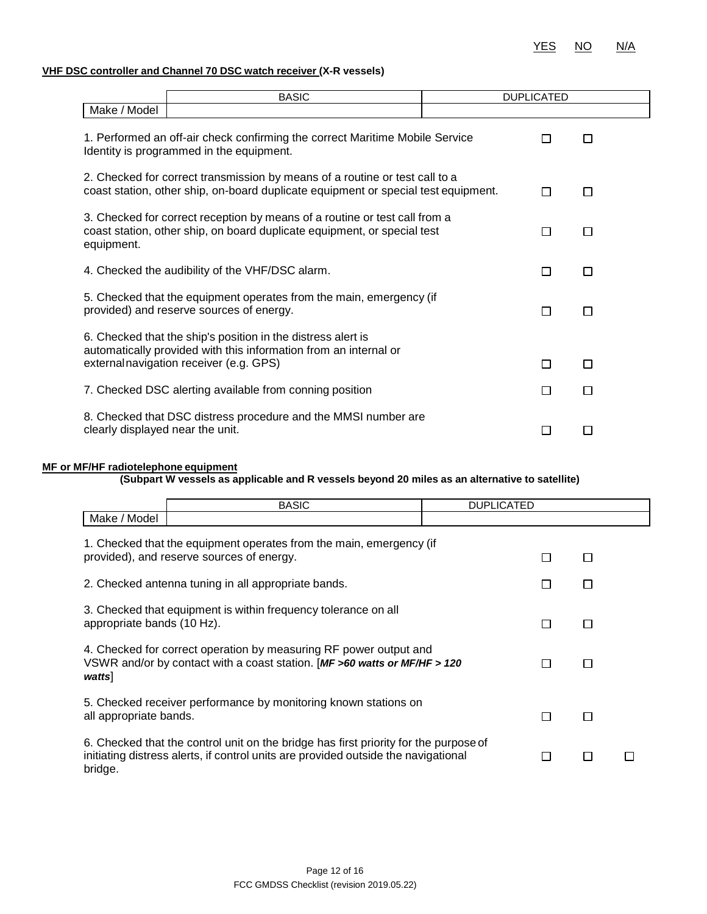### **VHF DSC controller and Channel 70 DSC watch receiver (X-R vessels)**

|                                                                                                    | <b>BASIC</b>                                                                                                                                                               |  | <b>DUPLICATED</b> |   |
|----------------------------------------------------------------------------------------------------|----------------------------------------------------------------------------------------------------------------------------------------------------------------------------|--|-------------------|---|
| Make / Model                                                                                       |                                                                                                                                                                            |  |                   |   |
|                                                                                                    | 1. Performed an off-air check confirming the correct Maritime Mobile Service<br>Identity is programmed in the equipment.                                                   |  |                   | П |
|                                                                                                    | 2. Checked for correct transmission by means of a routine or test call to a<br>coast station, other ship, on-board duplicate equipment or special test equipment.          |  | П                 | П |
| equipment.                                                                                         | 3. Checked for correct reception by means of a routine or test call from a<br>coast station, other ship, on board duplicate equipment, or special test<br>П<br>П           |  |                   |   |
| 4. Checked the audibility of the VHF/DSC alarm.                                                    |                                                                                                                                                                            |  | П                 | П |
|                                                                                                    | 5. Checked that the equipment operates from the main, emergency (if<br>provided) and reserve sources of energy.                                                            |  | П                 | П |
|                                                                                                    | 6. Checked that the ship's position in the distress alert is<br>automatically provided with this information from an internal or<br>externalnavigation receiver (e.g. GPS) |  | П                 | П |
|                                                                                                    | 7. Checked DSC alerting available from conning position                                                                                                                    |  | П                 | П |
| 8. Checked that DSC distress procedure and the MMSI number are<br>clearly displayed near the unit. |                                                                                                                                                                            |  |                   |   |

#### **MF or MF/HF radiotelephone equipment**

#### **(Subpart W vessels as applicable and R vessels beyond 20 miles as an alternative to satellite)**

|                            | <b>BASIC</b>                                                                                                                                                               | <b>DUPLICATED</b> |  |  |
|----------------------------|----------------------------------------------------------------------------------------------------------------------------------------------------------------------------|-------------------|--|--|
| Make / Model               |                                                                                                                                                                            |                   |  |  |
|                            | 1. Checked that the equipment operates from the main, emergency (if<br>provided), and reserve sources of energy.                                                           |                   |  |  |
|                            |                                                                                                                                                                            |                   |  |  |
|                            | 2. Checked antenna tuning in all appropriate bands.                                                                                                                        |                   |  |  |
| appropriate bands (10 Hz). | 3. Checked that equipment is within frequency tolerance on all                                                                                                             |                   |  |  |
| watts]                     | 4. Checked for correct operation by measuring RF power output and<br>VSWR and/or by contact with a coast station. [MF >60 watts or MF/HF > 120                             |                   |  |  |
| all appropriate bands.     | 5. Checked receiver performance by monitoring known stations on                                                                                                            |                   |  |  |
| bridge.                    | 6. Checked that the control unit on the bridge has first priority for the purpose of<br>initiating distress alerts, if control units are provided outside the navigational |                   |  |  |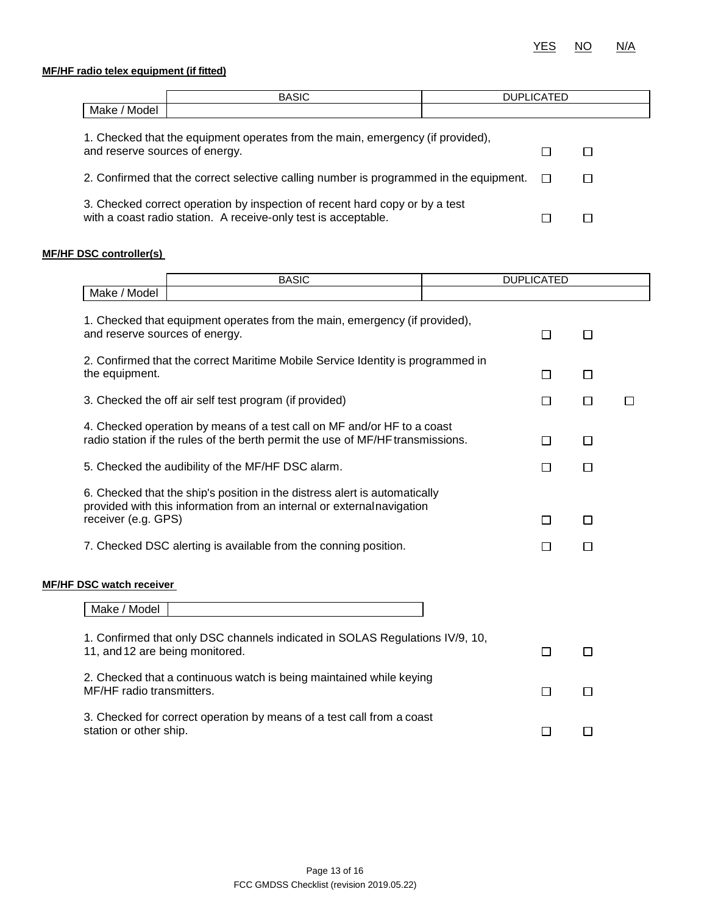### **MF/HF radio telex equipment (if fitted)**

|                                | <b>BASIC</b>                                                                   | <b>DUPLICATED</b> |  |
|--------------------------------|--------------------------------------------------------------------------------|-------------------|--|
| Make / Model                   |                                                                                |                   |  |
| and reserve sources of energy. | 1. Checked that the equipment operates from the main, emergency (if provided), |                   |  |

| 2. Confirmed that the correct selective calling number is programmed in the equipment. $\square$ |  |
|--------------------------------------------------------------------------------------------------|--|
|                                                                                                  |  |

| 3. Checked correct operation by inspection of recent hard copy or by a test |  |
|-----------------------------------------------------------------------------|--|
| with a coast radio station. A receive-only test is acceptable.              |  |

#### **MF/HF DSC controller(s)**

|                                                                                                 | <b>BASIC</b>                                                                                                                                                                                                            |  | <b>DUPLICATED</b> |                  |   |
|-------------------------------------------------------------------------------------------------|-------------------------------------------------------------------------------------------------------------------------------------------------------------------------------------------------------------------------|--|-------------------|------------------|---|
| Make / Model                                                                                    |                                                                                                                                                                                                                         |  |                   |                  |   |
| and reserve sources of energy.                                                                  | 1. Checked that equipment operates from the main, emergency (if provided),                                                                                                                                              |  | П                 | $\Box$           |   |
| the equipment.                                                                                  | 2. Confirmed that the correct Maritime Mobile Service Identity is programmed in                                                                                                                                         |  | □                 | □                |   |
|                                                                                                 | 3. Checked the off air self test program (if provided)                                                                                                                                                                  |  | □                 | $\Box$           | П |
|                                                                                                 | 4. Checked operation by means of a test call on MF and/or HF to a coast<br>radio station if the rules of the berth permit the use of MF/HF transmissions.                                                               |  | $\Box$            | □                |   |
|                                                                                                 | 5. Checked the audibility of the MF/HF DSC alarm.                                                                                                                                                                       |  | П                 | $\Box$           |   |
| receiver (e.g. GPS)                                                                             | 6. Checked that the ship's position in the distress alert is automatically<br>provided with this information from an internal or external navigation<br>7. Checked DSC alerting is available from the conning position. |  | П<br>l 1          | $\Box$<br>$\Box$ |   |
| <b>MF/HF DSC watch receiver</b><br>Make / Model                                                 |                                                                                                                                                                                                                         |  |                   |                  |   |
| 11, and 12 are being monitored.                                                                 | 1. Confirmed that only DSC channels indicated in SOLAS Regulations IV/9, 10,                                                                                                                                            |  | П                 | $\Box$           |   |
| MF/HF radio transmitters.                                                                       | 2. Checked that a continuous watch is being maintained while keying                                                                                                                                                     |  | □                 | $\Box$           |   |
| 3. Checked for correct operation by means of a test call from a coast<br>station or other ship. |                                                                                                                                                                                                                         |  | $\mathsf{L}$      | П                |   |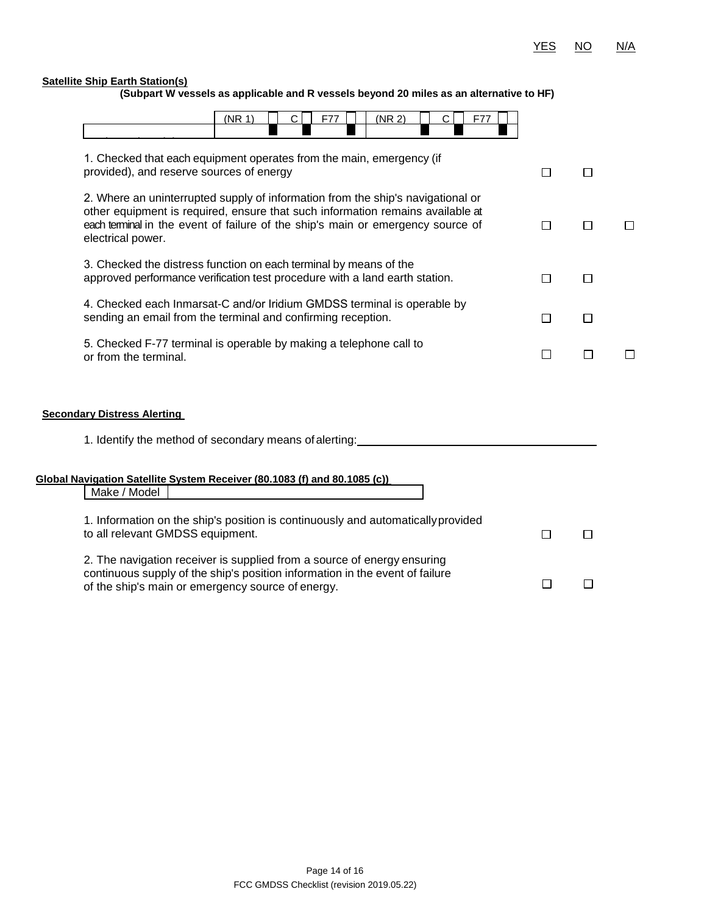$\Box$ 

 $\Box$ 

#### **Satellite Ship Earth Station(s)**

**(Subpart W vessels as applicable and R vessels beyond 20 miles as an alternative to HF)**

| (NR 1)<br>(NR 2)<br>С<br>F77<br>F77<br>С                                                                                                                                                                                                                                  |        |        |        |
|---------------------------------------------------------------------------------------------------------------------------------------------------------------------------------------------------------------------------------------------------------------------------|--------|--------|--------|
| 1. Checked that each equipment operates from the main, emergency (if<br>provided), and reserve sources of energy                                                                                                                                                          | $\Box$ | $\Box$ |        |
| 2. Where an uninterrupted supply of information from the ship's navigational or<br>other equipment is required, ensure that such information remains available at<br>each terminal in the event of failure of the ship's main or emergency source of<br>electrical power. | □      | П      | $\Box$ |
| 3. Checked the distress function on each terminal by means of the<br>approved performance verification test procedure with a land earth station.                                                                                                                          | □      | $\Box$ |        |
| 4. Checked each Inmarsat-C and/or Iridium GMDSS terminal is operable by<br>sending an email from the terminal and confirming reception.                                                                                                                                   | $\Box$ | $\Box$ |        |
| 5. Checked F-77 terminal is operable by making a telephone call to<br>or from the terminal.                                                                                                                                                                               | □      | $\Box$ |        |
| <b>Secondary Distress Alerting</b><br>1. Identify the method of secondary means of alerting:                                                                                                                                                                              |        |        |        |
| Global Navigation Satellite System Receiver (80.1083 (f) and 80.1085 (c))<br>Make / Model                                                                                                                                                                                 |        |        |        |
| 1. Information on the ship's position is continuously and automatically provided<br>to all relevant GMDSS equipment.                                                                                                                                                      | П      | П      |        |
| 2. The navigation receiver is supplied from a source of energy ensuring<br>continuous supply of the ship's position information in the event of failure                                                                                                                   |        |        |        |

of the ship's main or emergency source of energy.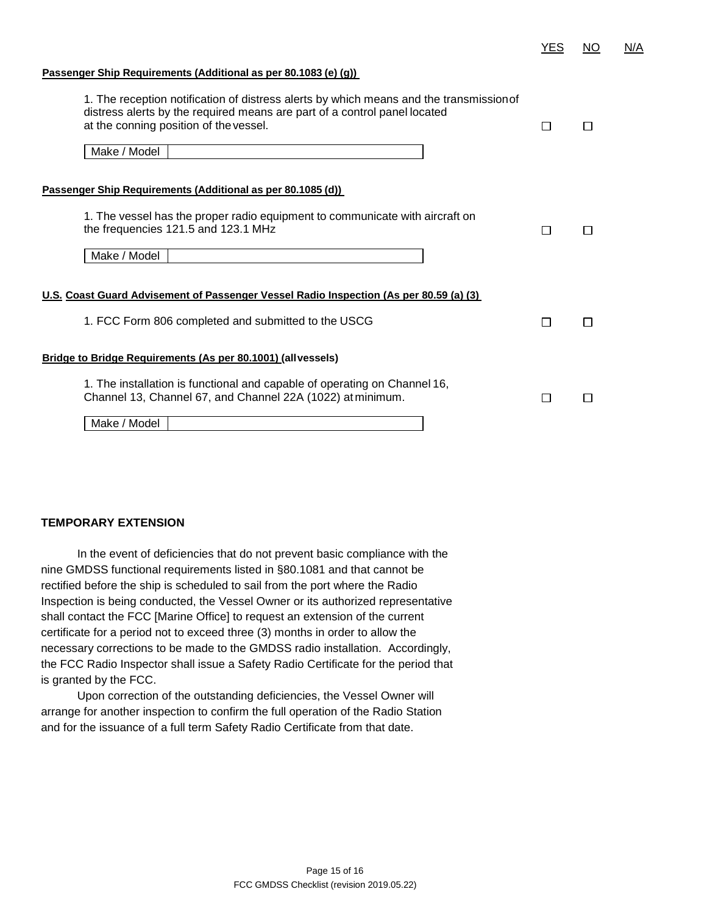| YES | NΟ | N/A |
|-----|----|-----|
|     |    |     |

#### **Passenger Ship Requirements (Additional as per 80.1083 (e) (g))**

| 1. The reception notification of distress alerts by which means and the transmission of<br>distress alerts by the required means are part of a control panel located<br>at the conning position of the vessel. |   | П      |
|----------------------------------------------------------------------------------------------------------------------------------------------------------------------------------------------------------------|---|--------|
| Make / Model                                                                                                                                                                                                   |   |        |
| Passenger Ship Requirements (Additional as per 80.1085 (d))                                                                                                                                                    |   |        |
| 1. The vessel has the proper radio equipment to communicate with aircraft on<br>the frequencies 121.5 and 123.1 MHz                                                                                            |   | П      |
| Make / Model                                                                                                                                                                                                   |   |        |
| <u>U.S. Coast Guard Advisement of Passenger Vessel Radio Inspection (As per 80.59 (a) (3)</u>                                                                                                                  |   |        |
| 1. FCC Form 806 completed and submitted to the USCG                                                                                                                                                            | П | $\Box$ |
| Bridge to Bridge Requirements (As per 80.1001) (all vessels)                                                                                                                                                   |   |        |
| 1. The installation is functional and capable of operating on Channel 16,<br>Channel 13, Channel 67, and Channel 22A (1022) at minimum.                                                                        |   | П      |
| Make / Model                                                                                                                                                                                                   |   |        |

#### **TEMPORARY EXTENSION**

In the event of deficiencies that do not prevent basic compliance with the nine GMDSS functional requirements listed in §80.1081 and that cannot be rectified before the ship is scheduled to sail from the port where the Radio Inspection is being conducted, the Vessel Owner or its authorized representative shall contact the FCC [Marine Office] to request an extension of the current certificate for a period not to exceed three (3) months in order to allow the necessary corrections to be made to the GMDSS radio installation. Accordingly, the FCC Radio Inspector shall issue a Safety Radio Certificate for the period that is granted by the FCC.

Upon correction of the outstanding deficiencies, the Vessel Owner will arrange for another inspection to confirm the full operation of the Radio Station and for the issuance of a full term Safety Radio Certificate from that date.